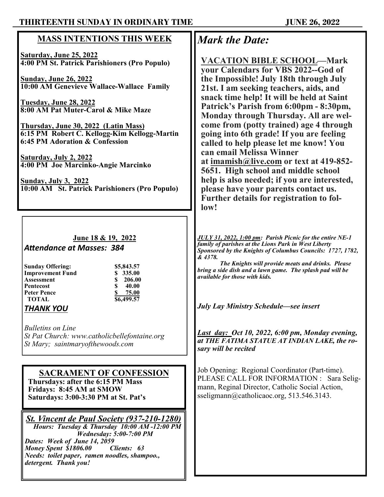## **THIRTEENTH SUNDAY IN ORDINARY TIME JUNE 26, 2022**

## **MASS INTENTIONS THIS WEEK**

**Saturday, June 25, 2022 4:00 PM St. Patrick Parishioners (Pro Populo)**

**Sunday, June 26, 2022 10:00 AM Genevieve Wallace-Wallace Family**

**Tuesday, June 28, 2022 8:00 AM Pat Muter-Carol & Mike Maze**

**Thursday, June 30, 2022 (Latin Mass) 6:15 PM Robert C. Kellogg-Kim Kellogg-Martin 6:45 PM Adoration & Confession**

**Saturday, July 2, 2022 4:00 PM Joe Marcinko-Angie Marcinko**

**Sunday, July 3, 2022 10:00 AM St. Patrick Parishioners (Pro Populo)**

#### **June 18 & 19, 2022** *Attendance at Masses: 384*

| <b>Sunday Offering:</b> |
|-------------------------|
| <b>Improvement Fund</b> |
| Assessment              |
| Pentecost               |
| Peter Pence             |
| <b>TOTAL</b>            |
|                         |

**Sunday Offering: \$5,843.57 Improvement Fund \$ 335.00 Assessment \$ 206.00 40.00 Peter Pence \$ 75.00 TOTAL \$6,499.57**

### *THANK YOU*

*Bulletins on Line St Pat Church: www.catholicbellefontaine.org St Mary; saintmaryofthewoods.com*

#### **SACRAMENT OF CONFESSION Thursdays: after the 6:15 PM Mass Fridays: 8:45 AM at SMOW Saturdays: 3:00-3:30 PM at St. Pat's**

*St. Vincent de Paul Society (937-210-1280) Hours: Tuesday & Thursday 10:00 AM -12:00 PM Wednesday: 5:00-7:00 PM Dates: Week of June 14, 2059 Money Spent \$1806.00 Needs: toilet paper, ramen noodles, shampoo., detergent. Thank you!*

# *Mark the Date:*

**VACATION BIBLE SCHOOL—Mark your Calendars for VBS 2022--God of the Impossible! July 18th through July 21st. I am seeking teachers, aids, and snack time help! It will be held at Saint Patrick's Parish from 6:00pm - 8:30pm, Monday through Thursday. All are welcome from (potty trained) age 4 through going into 6th grade! If you are feeling called to help please let me know! You can email Melissa Winner at [imamish@live.com](mailto:imamish@live.com) or text at 419-852- 5651. High school and middle school help is also needed; if you are interested, please have your parents contact us. Further details for registration to follow!**

*JULY 31, 2022, 1:00 pm: Parish Picnic for the entire NE-1 family of parishes at the Lions Park in West Liberty Sponsored by the Knights of Columbus Councils: 1727, 1782, & 4378.*

*The Knights will provide meats and drinks. Please bring a side dish and a lawn game. The splash pad will be available for those with kids.* 

*July Lay Ministry Schedule—see insert*

*Last day: Oct 10, 2022, 6:00 pm, Monday evening, at THE FATIMA STATUE AT INDIAN LAKE, the rosary will be recited* 

Job Opening: Regional Coordinator (Part-time). PLEASE CALL FOR INFORMATION : Sara Seligmann, Reginal Director, Catholic Social Action, sseligmann@catholicaoc.org, 513.546.3143.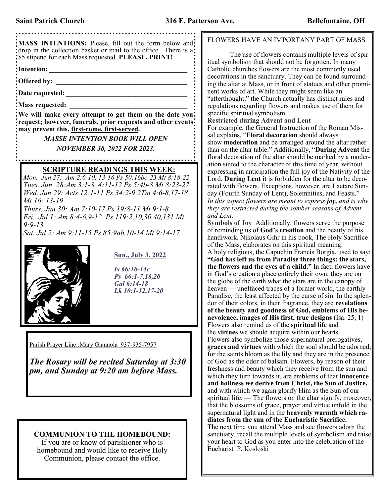**MASS INTENTIONS:** Please, fill out the form below and drop in the collection basket or mail to the office. There is a: \$5 stipend for each Mass requested. **PLEASE, PRINT! Intention: \_\_\_\_\_\_\_\_\_\_\_\_\_\_\_\_\_\_\_\_\_\_\_\_\_\_\_\_\_\_\_\_\_\_\_\_\_\_\_\_ Offered by: \_\_\_\_\_\_\_\_\_\_\_\_\_\_\_\_\_\_\_\_\_\_\_\_\_\_\_\_\_\_\_\_\_\_\_\_\_\_ Date requested: \_\_\_\_\_\_\_\_\_\_\_\_\_\_\_\_\_\_\_\_\_\_\_\_\_\_\_\_\_\_\_\_\_\_\_ Mass requested: We will make every attempt to get them on the date you request; however, funerals, prior requests and other events may prevent this, first-come, first-served.** *MASSE INTENTION BOOK WILL OPEN NOVEMBER 30, 2022 FOR 2023.* **SCRIPTURE READINGS THIS WEEK:** *Mon. Jun 27: Am 2:6-10, 13-16 Ps 50:16bc-23 Mt 8:18-22 Tues. Jun 28:Am 3:1-8, 4:11-12 Ps 5:4b-8 Mt 8:23-27 Wed. Jun 29: Acts 12:1-11 Ps 34:2-9 2Tm 4:6-8,17-18 Mt 16: 13-19 Thurs. Jun 30: Am 7:10-17 Ps 19:8-11 Mt 9:1-8 Fri. Jul 1: Am 8:4-6,9-12 Ps 119:2,10,30,40,131 Mt 9:9-13 Sat. Jul 2: Am 9:11-15 Ps 85:9ab,10-14 Mt 9:14-17* **Sun., July 3, 2022** *Is 66:10-14c Ps 66:1-7,16,20 Gal 6:14-18 Lk 10:1-12,17-20*  Parish Prayer Line:: Mary Giannola 937-935-7957 *The Rosary will be recited Saturday at 3:30 pm, and Sunday at 9:20 am before Mass.*

#### **COMMUNION TO THE HOMEBOUND:**

If you are or know of parishioner who is homebound and would like to receive Holy Communion, please contact the office.

#### FLOWERS HAVE AN IMPORTANY PART OF MASS

The use of flowers contains multiple levels of spiritual symbolism that should not be forgotten. In many Catholic churches flowers are the most commonly used decorations in the sanctuary. They can be found surrounding the altar at Mass, or in front of statues and other prominent works of art. While they might seem like an "afterthought," the Church actually has distinct rules and regulations regarding flowers and makes use of them for specific spiritual symbolism.

**Restricted during Advent and Lent**

For example, the General Instruction of the Roman Missal explains, "**Floral decoration** should always show **moderation** and be arranged around the altar rather than on the altar table." Additionally, "**During Advent** the floral decoration of the altar should be marked by a moderation suited to the character of this time of year, without expressing in anticipation the full joy of the Nativity of the Lord. **During Lent** it is forbidden for the altar to be decorated with flowers. Exceptions, however, are Laetare Sunday (Fourth Sunday of Lent), Solemnities, and Feasts." *In this aspect flowers are meant to express joy, and is why they are restricted during the somber seasons of Advent and Lent.*

**Symbols of Joy** Additionally, flowers serve the purpose of reminding us of **God's creation** and the beauty of his handiwork. Nikolaus Gihr in his book, The Holy Sacrifice of the Mass, elaborates on this spiritual meaning. A holy religious, the Capuchin Francis Borgia, used to say: **"God has left us from Paradise three things: the stars, the flowers and the eyes of a child."** In fact, flowers have in God's creation a place entirely their own; they are on the globe of the earth what the stars are in the canopy of heaven — uneffaced traces of a former world, the earthly Paradise, the least affected by the curse of sin. In the splendor of their colors, in their fragrance, they are **revelations of the beauty and goodness of God, emblems of His benevolence, images of His first, true designs** (Isa. 25, 1) Flowers also remind us of the **spiritual life** and the **virtues** we should acquire within our hearts. Flowers also symbolize those supernatural prerogatives, **graces and virtues** with which the soul should be adorned; for the saints bloom as the lily and they are in the presence of God as the odor of balsam. Flowers, by reason of their freshness and beauty which they receive from the sun and which they turn towards it, are emblems of that **innocence and holiness we derive from Christ, the Sun of Justice,** and with which we again glorify Him as the Sun of our spiritual life. — The flowers on the altar signify, moreover, that the blossoms of grace, prayer and virtue unfold in the supernatural light and in the **heavenly warmth which radiates from the sun of the Eucharistic Sacrifice.** The next time you attend Mass and see flowers adorn the sanctuary, recall the multiple levels of symbolism and raise your heart to God as you enter into the celebration of the Eucharist .P. Kosloski